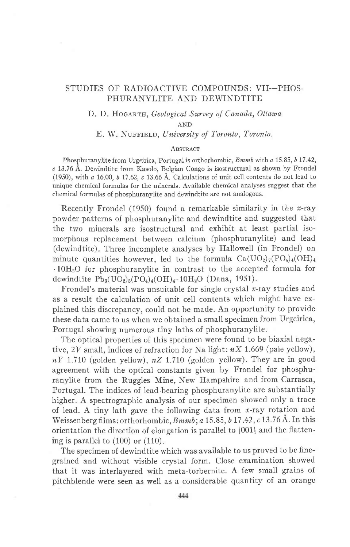## STUDIES OF RADIOACTIVE COMPOUNDS: VII-PHOS-PHURANYLITE AND DEWINDTITE

## D. D. HOGARTH, Geological Survey of Canada, Ottawa

AND

# E. W. NUFFIELD, University of Toronto, Toronto.

#### **ABSTRACT**

Phosphuranylite from Urgeirica, Portugal is orthorhombic, *Bmmb* with a 15.85, b 17.42, c 13.76 A. Dewindtite from Kasolo, Belgian Congo is isostructural as shown by Frondel (1950), with  $a$  16.00,  $b$  17.62,  $c$  13.66 Å. Calculations of unit cell contents do not lead to unique chemical formulas for the minerals. Available chemical analyses suggest that the chemical formulas of phosphuranylite and dewindtite are not analogous.

Recently Frondel (1950) found a remarkable similarity in the x-ray powder patterns of phosphuranylite and dewindtite and suggested that the two minerals are isostructural and exhibit at least partial isomorphous replacement between calcium (phosphuranylite) and lead (dewindtite). Three incomplete analyses by Hallowell (in Frondel) on minute quantities however, led to the formula  $Ca(UO<sub>2</sub>)<sub>7</sub>(PO<sub>4</sub>)<sub>4</sub>(OH)<sub>4</sub>$ .10H2O for phosphuranylite in contrast to the accepted formula for dewindtite  $Pb_3(UO_2)_5(PO_4)_4(OH)_4 \cdot 10H_2O$  (Dana, 1951).

Frondel's material was unsuitable for single crystal  $x$ -ray studies and as a result the calculation of unit cell contents which might have explained this discrepancy, could not be made. An opportunity to provide these data came to us when we obtained a small specimen from Urgeirica, Portugal showing numerous tiny laths of phosphuranylite.

The optical properties of this specimen were found to be biaxial negative,  $2V$  small, indices of refraction for Na light:  $nX$  1.669 (pale yellow),  $nY$  1.710 (golden yellow),  $nZ$  1.710 (golden yellow). They are in good agreement with the optical constants given by Frondel for phosphuranylite from the Ruggles Mine, New Hampshire and from Carrasca, Portugal. The indices of lead-bearing phosphuranylite are substantially higher. A spectrographic analysis of our specimen showed only a trace of lead. A tiny lath gave the following data from  $x$ -ray rotation and Weissenberg films: orthorhombic,  $Bmmb$ ; a 15.85, b 17.42, c 13.76 Å. In this orientation the direction of elongation is parallel to [001] and the flattening is parallel to (100) or (110).

The specimen of dewindtite which was available to us proved to be finegrained and without visible crystal form. Close examination showed that it was interlayered with meta-torbernite. A few small grains of pitchblende were seen as well as a considerable quantity of an orange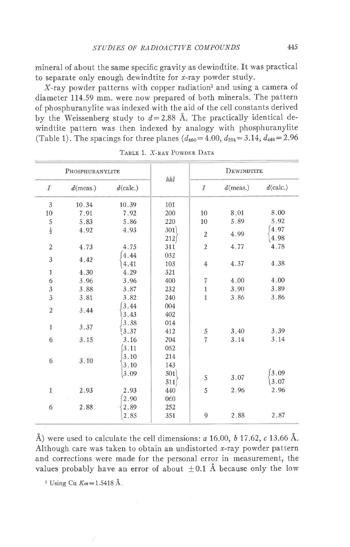mineral of about the same specific gravity as dewindtite. It was practical to separate only enough dewindtite for  $x$ -ray powder study.

 $X$ -ray powder patterns with copper radiation<sup>1</sup> and using a camera of diameter 114.59 mm. were now prepared of both minerals. The pattern of phosphuranvlite was indexed with the aid of the cell constants derived by the Weissenberg study to  $d=2.88$  Å. The practically identical dewindtite pattern was then indexed by analogy with phosphuranylite (Table 1). The spacings for three planes  $(d_{400} = 4.00, d_{204} = 3.14, d_{440} = 2.96$ 

| PHOSPHURANYLITE  |             |              |             | DEWINDTITE                            |             |              |  |
|------------------|-------------|--------------|-------------|---------------------------------------|-------------|--------------|--|
| $\boldsymbol{I}$ | $d$ (meas.) | $d$ (calc.)  | hkl         | $\boldsymbol{I}$                      | $d$ (meas.) | $d$ (calc.)  |  |
| $\mathbf{3}$     | 10.34       | 10.39        | 101         |                                       |             |              |  |
| 10               | 7.91        | 7.92         | 200         | 10                                    | 8.01        | 8.00         |  |
| 5                | 5.83        | 5.86         | 220         | 10                                    | 5.89        | 5.92         |  |
| $\frac{1}{2}$    | 4.92        | 4.93         | 301<br>212  | $\overline{2}$                        | 4.99        | 4.97<br>4.98 |  |
| $\,2$            | 4.73        | 4.75         | 311         | $\overline{2}$                        | 4.77        | 4.78         |  |
| 3                | 4.42        | 4.44<br>4.41 | 032<br>103  | $\bf{4}$                              | 4.37        | 4.38         |  |
| 1                | 4.30        | 4.29         | 321         |                                       |             |              |  |
| $\sqrt{6}$       | 3.96        | 3.96         | 400         | $\begin{array}{c} 7 \\ 1 \end{array}$ | 4.00        | 4.00         |  |
| $\overline{3}$   | 3.88        | 3.87         | 232         |                                       | 3.90        | 3.89         |  |
| 3                | 3.81        | 3.82         | 240         | $\mathbf{1}$                          | 3.86        | 3.86         |  |
| $\,2$            | 3.44        | 3.44<br>3.43 | 004<br>402  |                                       |             |              |  |
| 1                | 3.37        | 3.38<br>3.37 | 014<br>412  | $\frac{5}{7}$                         | 3.40        | 3.39         |  |
| 6                | 3.15        | 3.16<br>3.11 | 204<br>052  |                                       | 3.14        | 3.14         |  |
| 6                | 3.10        | 3.10<br>3.10 | 214<br>143  |                                       |             |              |  |
|                  |             | 3.09         | 501)<br>511 | 5                                     | 3.07        | 3.09<br>3.07 |  |
| $\mathbf{1}$     | 2.93        | 2.93<br>2.90 | 440<br>060  | 5                                     | 2.96        | 2.96         |  |
| $\boldsymbol{6}$ | 2.88        | 2.89         | 252         |                                       |             |              |  |
|                  |             | 2.85         | 351         | 9                                     | 2.88        | 2.87         |  |

TABLE 1. X-RAY POWDER DATA

Å) were used to calculate the cell dimensions:  $a$  16.00,  $b$  17.62,  $c$  13.66 Å. Although care was taken to obtain an undistorted x-ray powder pattern and corrections were made for the personal error in measurement, the values probably have an error of about  $\pm 0.1$  Å because only the low

<sup>1</sup> Using Cu  $K\alpha = 1.5418$  Å.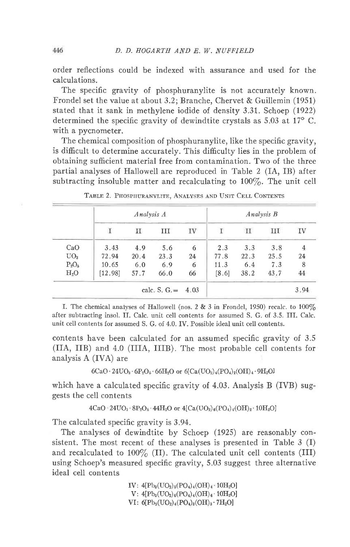order reflections could be indexed with assurance and used for the calculations.

The specific gravity of phosphuranylite is not accurately known. Frondel set the value at about 3.2; Branche, Chervet & Guillemin (1951) stated that it sank in methylene iodide of density 3.31. Schoep (1922) determined the specific gravity of dewindtite crystals as  $5.03$  at  $17^{\circ}$  C. with a pycnometer.

The chemical composition of phosphuranylite, like the specific gravity, is difficult to determine accurately. This difficulty lies in the problem of obtaining sufficient material free from contamination. Two of the three partial analyses of Hallowell are reproduced in Table 2 (IA, IB) after subtracting insoluble matter and recalculating to  $100\%$ . The unit cell

|                 | Analysis A |      |                     |    | Analysis B |      |      |                |
|-----------------|------------|------|---------------------|----|------------|------|------|----------------|
|                 |            | п    | <b>III</b>          | IV |            | П    | III  | IV             |
| CaO             | 3.43       | 4.9  | 5.6                 | 6  | 2.3        | 3.3  | 3.8  | $\overline{4}$ |
| UO <sub>3</sub> | 72.94      | 20.4 | 23.3                | 24 | 77.8       | 22.3 | 25.5 | 24             |
| $P_2O_5$        | 10.65      | 6.0  | 6.9                 | 6  | 11.3       | 6.4  | 7.3  | 8              |
| $H_2O$          | [12.98]    | 57.7 | 66.0                | 66 | [8.6]      | 38.2 | 43.7 | 44             |
|                 |            |      | calc. S. $G = 4.03$ |    |            |      |      | 3.94           |

TABLE 2. PHOSPHURANYLITE, ANALYSES AND UNIT CELL CONTENTS

I. The chemical analyses of Hallowell (nos. 2  $\&$  3 in Frondel, 1950) recalc. to 100% after subtracting insol. II. Calc. unit cell contents for assumed S. G. of 3.5. III. Calc. unit cell contents for assumed S. G. of 4.0. IV. Possible ideal unit cell contents.

contents have been calculated for an assumed specific gravity of 3.5 (IIA, IIB) and 4.0 (IIIA, IIIB). The most probable cell contents for analysis A (IVA) are

 $6CaO \cdot 24UO_3 \cdot 6P_2O_5 \cdot 66H_2O$  or  $6[Ca(UO_2)_4(PO_4)_2(OH)_4 \cdot 9H_2O]$ 

which have a calculated specific gravity of 4.03. Analysis B (IVB) suggests the cell contents

 $4CaO - 24UO<sub>3</sub> \cdot 8P<sub>2</sub>O<sub>5</sub> \cdot 44H<sub>2</sub>O$  or  $4[Ca(UO<sub>2</sub>)<sub>6</sub>(PO<sub>4</sub>)<sub>4</sub>(OH)<sub>2</sub> \cdot 10H<sub>2</sub>O]$ 

The calculated specific gravity is 3.94.

The analyses of dewindtite by Schoep (1925) are reasonably consistent. The most recent of these analyses is presented in Table 3 (I) and recalculated to 100% (II). The calculated unit cell contents (III) using Schoep's measured specific gravity, 5.03 suggest three alternative ideal cell contents

> IV:  $4[{\rm Pb}_3({\rm UO}_2)_5({\rm PO}_4)_4({\rm OH})_4$  10H<sub>2</sub>O]  $V: 4[{\rm Pb}_3({\rm UO}_2)_6({\rm PO}_4)_4({\rm OH})_6 \cdot 10{\rm H}_2{\rm O}]$ VI:  $6[Pb_2(VO_2)_4(PO_4)_3(OH)_3 \cdot 7H_2O]$